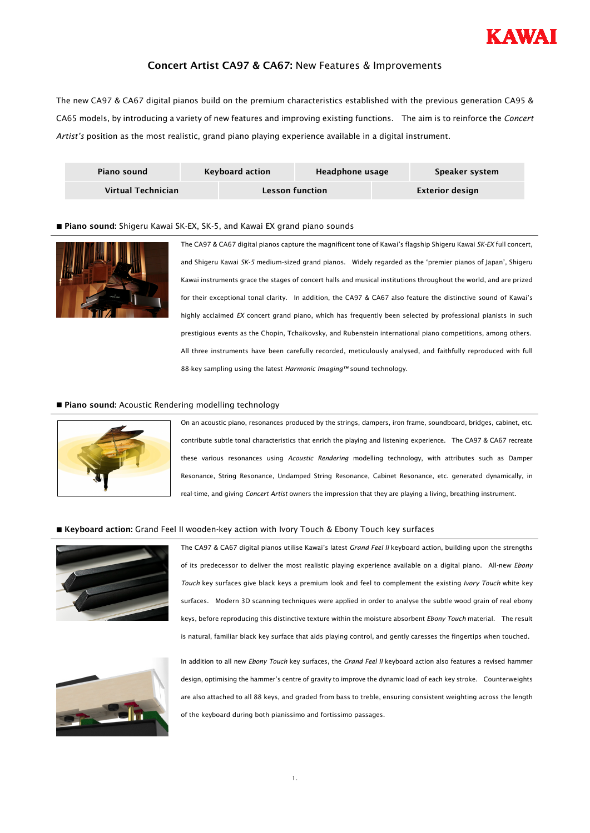

# Concert Artist CA97 & CA67: New Features & Improvements

The new CA97 & CA67 digital pianos build on the premium characteristics established with the previous generation CA95 & CA65 models, by introducing a variety of new features and improving existing functions. The aim is to reinforce the *Concert Artist's* position as the most realistic, grand piano playing experience available in a digital instrument.

| Piano sound        | Keyboard action        | Headphone usage |                 | Speaker system |
|--------------------|------------------------|-----------------|-----------------|----------------|
| Virtual Technician | <b>Lesson function</b> |                 | Exterior design |                |

# ■ Piano sound: Shigeru Kawai SK-EX, SK-5, and Kawai EX grand piano sounds



The CA97 & CA67 digital pianos capture the magnificent tone of Kawai's flagship Shigeru Kawai *SK-EX* full concert, and Shigeru Kawai *SK-5* medium-sized grand pianos. Widely regarded as the 'premier pianos of Japan', Shigeru Kawai instruments grace the stages of concert halls and musical institutions throughout the world, and are prized for their exceptional tonal clarity. In addition, the CA97 & CA67 also feature the distinctive sound of Kawai's highly acclaimed *EX* concert grand piano, which has frequently been selected by professional pianists in such prestigious events as the Chopin, Tchaikovsky, and Rubenstein international piano competitions, among others. All three instruments have been carefully recorded, meticulously analysed, and faithfully reproduced with full 88-key sampling using the latest *Harmonic Imaging™* sound technology.

## Piano sound: Acoustic Rendering modelling technology



On an acoustic piano, resonances produced by the strings, dampers, iron frame, soundboard, bridges, cabinet, etc. contribute subtle tonal characteristics that enrich the playing and listening experience. The CA97 & CA67 recreate these various resonances using *Acoustic Rendering* modelling technology, with attributes such as Damper Resonance, String Resonance, Undamped String Resonance, Cabinet Resonance, etc. generated dynamically, in real-time, and giving *Concert Artist* owners the impression that they are playing a living, breathing instrument.

#### ■ Keyboard action: Grand Feel II wooden-key action with Ivory Touch & Ebony Touch key surfaces



The CA97 & CA67 digital pianos utilise Kawai's latest *Grand Feel II* keyboard action, building upon the strengths of its predecessor to deliver the most realistic playing experience available on a digital piano. All-new *Ebony Touch* key surfaces give black keys a premium look and feel to complement the existing *Ivory Touch* white key surfaces. Modern 3D scanning techniques were applied in order to analyse the subtle wood grain of real ebony keys, before reproducing this distinctive texture within the moisture absorbent *Ebony Touch* material. The result is natural, familiar black key surface that aids playing control, and gently caresses the fingertips when touched.



In addition to all new *Ebony Touch* key surfaces, the *Grand Feel II* keyboard action also features a revised hammer design, optimising the hammer's centre of gravity to improve the dynamic load of each key stroke. Counterweights are also attached to all 88 keys, and graded from bass to treble, ensuring consistent weighting across the length of the keyboard during both pianissimo and fortissimo passages.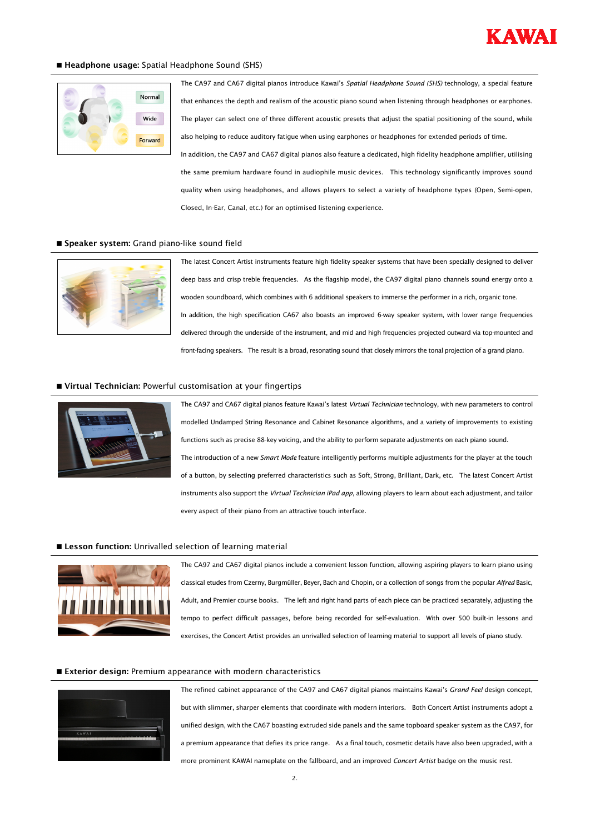

#### Headphone usage: Spatial Headphone Sound (SHS)



The CA97 and CA67 digital pianos introduce Kawai's *Spatial Headphone Sound (SHS)* technology, a special feature that enhances the depth and realism of the acoustic piano sound when listening through headphones or earphones. The player can select one of three different acoustic presets that adjust the spatial positioning of the sound, while also helping to reduce auditory fatigue when using earphones or headphones for extended periods of time. In addition, the CA97 and CA67 digital pianos also feature a dedicated, high fidelity headphone amplifier, utilising the same premium hardware found in audiophile music devices. This technology significantly improves sound quality when using headphones, and allows players to select a variety of headphone types (Open, Semi-open, Closed, In-Ear, Canal, etc.) for an optimised listening experience.

#### Speaker system: Grand piano-like sound field



The latest Concert Artist instruments feature high fidelity speaker systems that have been specially designed to deliver deep bass and crisp treble frequencies. As the flagship model, the CA97 digital piano channels sound energy onto a wooden soundboard, which combines with 6 additional speakers to immerse the performer in a rich, organic tone. In addition, the high specification CA67 also boasts an improved 6-way speaker system, with lower range frequencies delivered through the underside of the instrument, and mid and high frequencies projected outward via top-mounted and front-facing speakers. The result is a broad, resonating sound that closely mirrors the tonal projection of a grand piano.

## Virtual Technician: Powerful customisation at your fingertips



The CA97 and CA67 digital pianos feature Kawai's latest *Virtual Technician* technology, with new parameters to control modelled Undamped String Resonance and Cabinet Resonance algorithms, and a variety of improvements to existing functions such as precise 88-key voicing, and the ability to perform separate adjustments on each piano sound. The introduction of a new *Smart Mode* feature intelligently performs multiple adjustments for the player at the touch of a button, by selecting preferred characteristics such as Soft, Strong, Brilliant, Dark, etc. The latest Concert Artist instruments also support the *Virtual Technician iPad app*, allowing players to learn about each adjustment, and tailor every aspect of their piano from an attractive touch interface.

## **Lesson function:** Unrivalled selection of learning material



The CA97 and CA67 digital pianos include a convenient lesson function, allowing aspiring players to learn piano using classical etudes from Czerny, Burgmüller, Beyer, Bach and Chopin, or a collection of songs from the popular *Alfred* Basic, Adult, and Premier course books. The left and right hand parts of each piece can be practiced separately, adjusting the tempo to perfect difficult passages, before being recorded for self-evaluation. With over 500 built-in lessons and exercises, the Concert Artist provides an unrivalled selection of learning material to support all levels of piano study.

#### Exterior design: Premium appearance with modern characteristics



The refined cabinet appearance of the CA97 and CA67 digital pianos maintains Kawai's *Grand Feel* design concept, but with slimmer, sharper elements that coordinate with modern interiors. Both Concert Artist instruments adopt a unified design, with the CA67 boasting extruded side panels and the same topboard speaker system as the CA97, for a premium appearance that defies its price range. As a final touch, cosmetic details have also been upgraded, with a more prominent KAWAI nameplate on the fallboard, and an improved *Concert Artist* badge on the music rest.